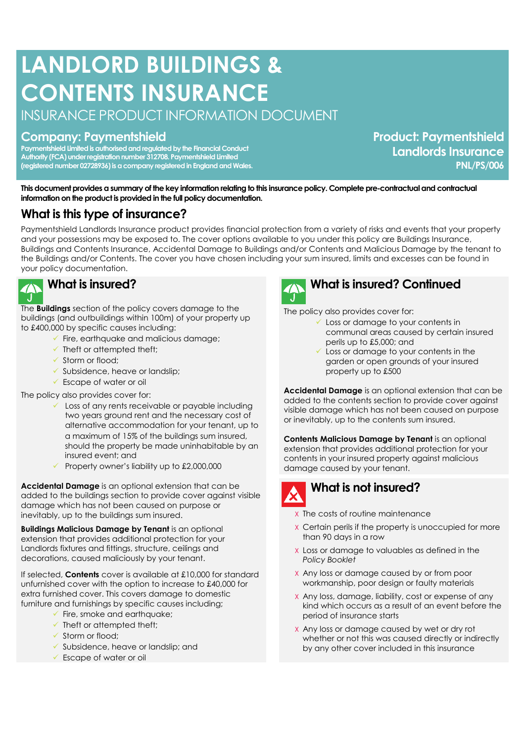# **LANDLORD BUILDINGS & CONTENTS INSURANCE**

INSURANCE PRODUCT INFORMATION DOCUMENT

## **Company: Paymentshield**

**Paymentshield Limited is authorised and regulated by the Financial Conduct Authority (FCA) under registration number 312708. Paymentshield Limited (registered number 02728936) is a company registered in England and Wales.** **Product: Paymentshield Landlords Insurance PNL/PS/006**

**This document provides a summary of the key information relating to this insurance policy. Complete pre-contractual and contractual information on the product is provided in the full policy documentation.**

# **What is this type of insurance?**

Paymentshield Landlords Insurance product provides financial protection from a variety of risks and events that your property and your possessions may be exposed to. The cover options available to you under this policy are Buildings Insurance, Buildings and Contents Insurance, Accidental Damage to Buildings and/or Contents and Malicious Damage by the tenant to the Buildings and/or Contents. The cover you have chosen including your sum insured, limits and excesses can be found in your policy documentation.



# **What is insured?**

The **Buildings** section of the policy covers damage to the buildings (and outbuildings within 100m) of your property up to £400,000 by specific causes including:

- ✓ Fire, earthquake and malicious damage;
- $\checkmark$  Theft or attempted theft:
- ✓ Storm or flood;
- ✓ Subsidence, heave or landslip;
- ✓ Escape of water or oil

The policy also provides cover for:

- ✓ Loss of any rents receivable or payable including two years ground rent and the necessary cost of alternative accommodation for your tenant, up to a maximum of 15% of the buildings sum insured, should the property be made uninhabitable by an insured event; and
- $\checkmark$  Property owner's liability up to £2,000,000

**Accidental Damage** is an optional extension that can be added to the buildings section to provide cover against visible damage which has not been caused on purpose or inevitably, up to the buildings sum insured.

**Buildings Malicious Damage by Tenant** is an optional extension that provides additional protection for your Landlords fixtures and fittings, structure, ceilings and decorations, caused maliciously by your tenant.

If selected, **Contents** cover is available at £10,000 for standard unfurnished cover with the option to increase to £40,000 for extra furnished cover. This covers damage to domestic furniture and furnishings by specific causes including;

- $\checkmark$  Fire, smoke and earthauake;
- $\checkmark$  Theft or attempted theft;
- ✓ Storm or flood;
- ✓ Subsidence, heave or landslip; and
- ✓ Escape of water or oil



# **What is insured? Continued**

The policy also provides cover for:

- $\checkmark$  Loss or damage to your contents in communal areas caused by certain insured perils up to £5,000; and
- $\checkmark$  Loss or damage to your contents in the garden or open grounds of your insured property up to £500

**Accidental Damage** is an optional extension that can be added to the contents section to provide cover against visible damage which has not been caused on purpose or inevitably, up to the contents sum insured.

**Contents Malicious Damage by Tenant** is an optional extension that provides additional protection for your contents in your insured property against malicious damage caused by your tenant.

**What is not insured?**

- X The costs of routine maintenance
- X Certain perils if the property is unoccupied for more than 90 days in a row
- X Loss or damage to valuables as defined in the *Policy Booklet*
- X Any loss or damage caused by or from poor workmanship, poor design or faulty materials
- X Any loss, damage, liability, cost or expense of any kind which occurs as a result of an event before the period of insurance starts
- X Any loss or damage caused by wet or dry rot whether or not this was caused directly or indirectly by any other cover included in this insurance